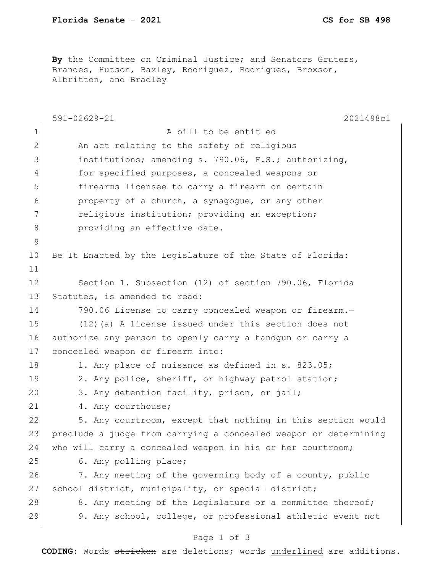By the Committee on Criminal Justice; and Senators Gruters, Brandes, Hutson, Baxley, Rodriguez, Rodrigues, Broxson, Albritton, and Bradley

|              | 591-02629-21<br>2021498c1                                        |  |  |
|--------------|------------------------------------------------------------------|--|--|
| 1            | A bill to be entitled                                            |  |  |
| $\mathbf{2}$ | An act relating to the safety of religious                       |  |  |
| 3            | institutions; amending s. 790.06, F.S.; authorizing,             |  |  |
| 4            | for specified purposes, a concealed weapons or                   |  |  |
| 5            | firearms licensee to carry a firearm on certain                  |  |  |
| 6            | property of a church, a synagogue, or any other                  |  |  |
| 7            | religious institution; providing an exception;                   |  |  |
| 8            | providing an effective date.                                     |  |  |
| $\mathsf 9$  |                                                                  |  |  |
| 10           | Be It Enacted by the Legislature of the State of Florida:        |  |  |
| 11           |                                                                  |  |  |
| 12           | Section 1. Subsection (12) of section 790.06, Florida            |  |  |
| 13           | Statutes, is amended to read:                                    |  |  |
| 14           | 790.06 License to carry concealed weapon or firearm.-            |  |  |
| 15           | (12) (a) A license issued under this section does not            |  |  |
| 16           | authorize any person to openly carry a handgun or carry a        |  |  |
| 17           | concealed weapon or firearm into:                                |  |  |
| 18           | 1. Any place of nuisance as defined in s. 823.05;                |  |  |
| 19           | 2. Any police, sheriff, or highway patrol station;               |  |  |
| 20           | 3. Any detention facility, prison, or jail;                      |  |  |
| 21           | 4. Any courthouse;                                               |  |  |
| 22           | 5. Any courtroom, except that nothing in this section would      |  |  |
| 23           | preclude a judge from carrying a concealed weapon or determining |  |  |
| 24           | who will carry a concealed weapon in his or her courtroom;       |  |  |
| 25           | 6. Any polling place;                                            |  |  |
| 26           | 7. Any meeting of the governing body of a county, public         |  |  |
| 27           | school district, municipality, or special district;              |  |  |
| 28           | 8. Any meeting of the Legislature or a committee thereof;        |  |  |
| 29           | 9. Any school, college, or professional athletic event not       |  |  |
|              |                                                                  |  |  |

## Page 1 of 3

**CODING**: Words stricken are deletions; words underlined are additions.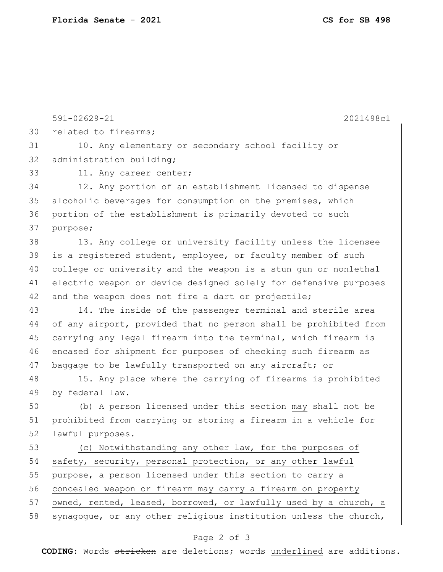591-02629-21 2021498c1 30 related to firearms; 31 10. Any elementary or secondary school facility or 32 administration building; 33 11. Any career center; 34 12. Any portion of an establishment licensed to dispense 35 alcoholic beverages for consumption on the premises, which 36 portion of the establishment is primarily devoted to such 37 purpose; 38 13. Any college or university facility unless the licensee 39 is a registered student, employee, or faculty member of such 40 college or university and the weapon is a stun gun or nonlethal 41 electric weapon or device designed solely for defensive purposes 42 and the weapon does not fire a dart or projectile; 43 14. The inside of the passenger terminal and sterile area 44 of any airport, provided that no person shall be prohibited from 45 carrying any legal firearm into the terminal, which firearm is 46 encased for shipment for purposes of checking such firearm as 47 baggage to be lawfully transported on any aircraft; or 48 15. Any place where the carrying of firearms is prohibited 49 by federal law. 50 (b) A person licensed under this section may shall not be 51 prohibited from carrying or storing a firearm in a vehicle for 52 lawful purposes. 53 (c) Notwithstanding any other law, for the purposes of 54 safety, security, personal protection, or any other lawful 55 purpose, a person licensed under this section to carry a 56 concealed weapon or firearm may carry a firearm on property 57 owned, rented, leased, borrowed, or lawfully used by a church, a 58 synagogue, or any other religious institution unless the church,

## Page 2 of 3

**CODING**: Words stricken are deletions; words underlined are additions.